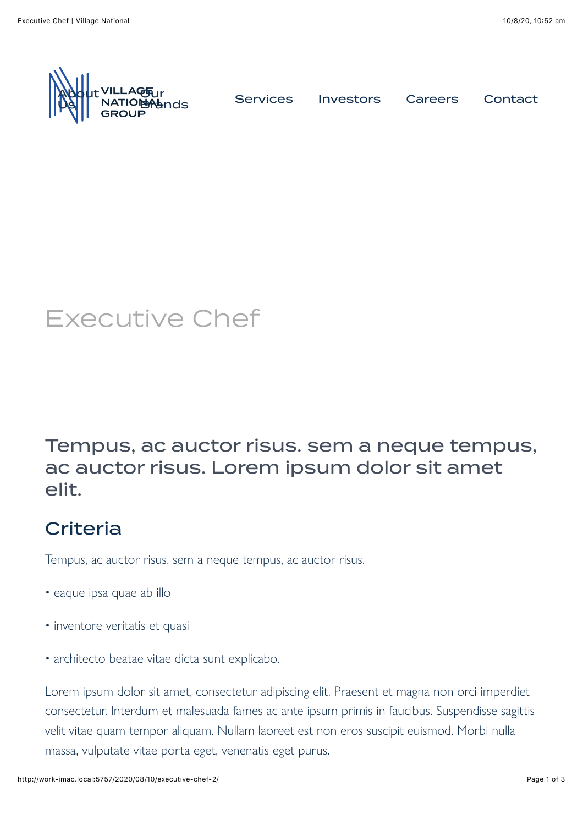

**[Brands](http://work-imac.local:5757/our-brands/) [Services](http://work-imac.local:5757/services/) [Investors](http://work-imac.local:5757/investors/) [Careers](http://work-imac.local:5757/careers/) [Contact](http://work-imac.local:5757/contact/)**<br>Prands

# Executive Chef

### Tempus, ac auctor risus. sem a neque tempus, ac auctor risus. Lorem ipsum dolor sit amet elit.

## **Criteria**

Tempus, ac auctor risus. sem a neque tempus, ac auctor risus.

- eaque ipsa quae ab illo
- inventore veritatis et quasi
- architecto beatae vitae dicta sunt explicabo.

Lorem ipsum dolor sit amet, consectetur adipiscing elit. Praesent et magna non orci imperdiet consectetur. Interdum et malesuada fames ac ante ipsum primis in faucibus. Suspendisse sagittis velit vitae quam tempor aliquam. Nullam laoreet est non eros suscipit euismod. Morbi nulla massa, vulputate vitae porta eget, venenatis eget purus.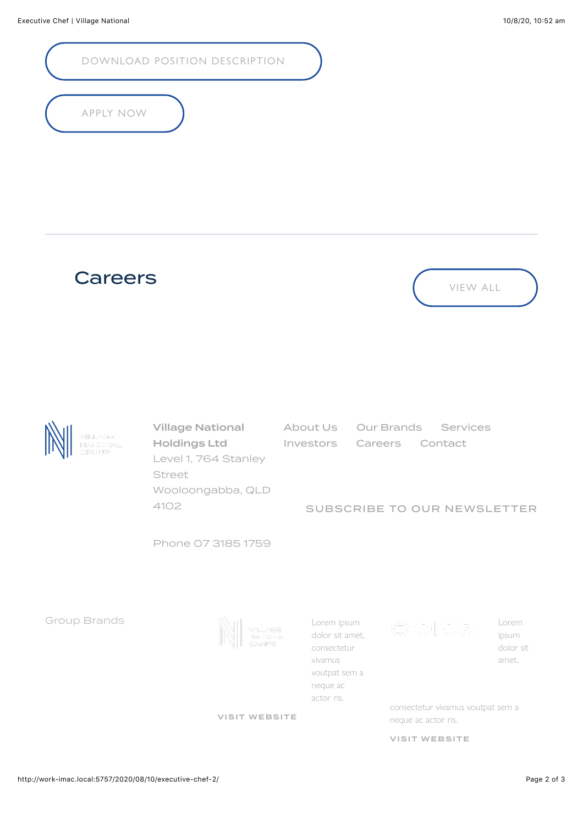[DOWNLOAD POSITION DESCRIPTION](http://work-imac.local:5757/2020/08/10/executive-chef-2/)

#### [APPLY NOW](http://work-imac.local:5757/2020/08/10/executive-chef-2/)





Village National Holdings Ltd Level 1, 764 Stanley Street Wooloongabba, QLD 4102

[About Us](http://work-imac.local:5757/about-us/) [Our Brands](http://work-imac.local:5757/our-brands/) [Services](http://work-imac.local:5757/services/) [Investors](http://work-imac.local:5757/investors/) [Careers](http://work-imac.local:5757/careers/) [Contact](http://work-imac.local:5757/contact/)

#### [SUBSCRIBE TO OUR NEWSLETTER](http://work-imac.local:5757/)

Phone 07 3185 1759

Group Brands

VILLAGE<br>NATIONA

[VISIT WEBSITE](http://work-imac.local:5757/vnc/site/here)



 $\circledcirc$  olcs

Lorem ipsum dolor sit amet,

consectetur vivamus voutpat sem a neque ac actor ris.

[VISIT WEBSITE](http://work-imac.local:5757/oics/site/here)